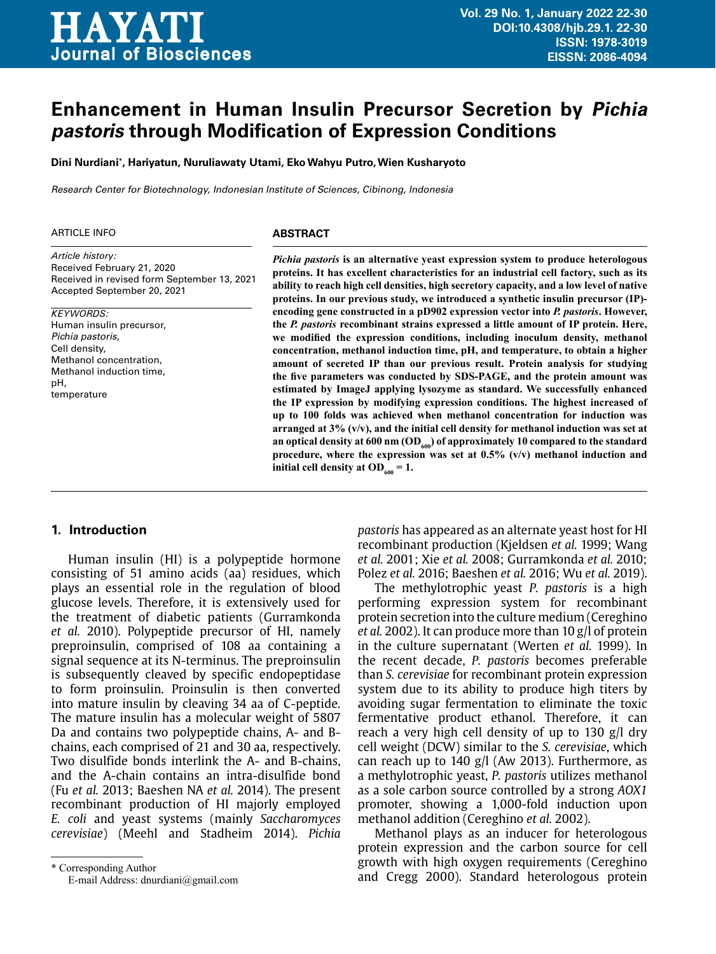

# **Enhancement in Human Insulin Precursor Secretion by Pichia pastoris through Modification of Expression Conditions**

**Dini Nurdiani\* , Hariyatun, Nuruliawaty Utami, Eko Wahyu Putro, Wien Kusharyoto**

Research Center for Biotechnology, Indonesian Institute of Sciences, Cibinong, Indonesia

#### **ARTICLE INFO**

*Article history:* Received February 21, 2020 Received in revised form September 13, 2021 Accepted September 20, 2021

#### *KEYWORDS:*

Human insulin precursor, Pichia pastoris, Cell density, Methanol concentration, Methanol induction time, pH, temperature

#### **ABSTRACT**

*Pichia pastoris* **is an alternative yeast expression system to produce heterologous proteins. It has excellent characteristics for an industrial cell factory, such as its ability to reach high cell densities, high secretory capacity, and a low level of native proteins. In our previous study, we introduced a synthetic insulin precursor (IP) encoding gene constructed in a pD902 expression vector into** *P. pastoris***. However, the** *P. pastoris* **recombinant strains expressed a little amount of IP protein. Here, we modified the expression conditions, including inoculum density, methanol concentration, methanol induction time, pH, and temperature, to obtain a higher amount of secreted IP than our previous result. Protein analysis for studying the five parameters was conducted by SDS-PAGE, and the protein amount was estimated by ImageJ applying lysozyme as standard. We successfully enhanced the IP expression by modifying expression conditions. The highest increased of up to 100 folds was achieved when methanol concentration for induction was arranged at 3% (v/v), and the initial cell density for methanol induction was set at**  an optical density at 600 nm (OD<sub>600</sub>) of approximately 10 compared to the standard **procedure, where the expression was set at 0.5% (v/v) methanol induction and initial cell density at OD**<sub>600</sub> = 1.

#### **1. Introduction**

Human insulin (HI) is a polypeptide hormone consisting of 51 amino acids (aa) residues, which plays an essential role in the regulation of blood glucose levels. Therefore, it is extensively used for the treatment of diabetic patients (Gurramkonda *et al.* 2010). Polypeptide precursor of HI, namely preproinsulin, comprised of 108 aa containing a signal sequence at its N-terminus. The preproinsulin is subsequently cleaved by specific endopeptidase to form proinsulin. Proinsulin is then converted into mature insulin by cleaving 34 aa of C-peptide. The mature insulin has a molecular weight of 5807 Da and contains two polypeptide chains, A- and Bchains, each comprised of 21 and 30 aa, respectively. Two disulfide bonds interlink the A- and B-chains, and the A-chain contains an intra-disulfide bond (Fu *et al.* 2013; Baeshen NA *et al.* 2014). The present recombinant production of HI majorly employed *E. coli* and yeast systems (mainly *Saccharomyces cerevisiae*) (Meehl and Stadheim 2014). *Pichia* 

*pastoris* has appeared as an alternate yeast host for HI recombinant production (Kjeldsen *et al.* 1999; Wang *et al.* 2001; Xie *et al.* 2008; Gurramkonda *et al.* 2010; Polez *et al.* 2016; Baeshen *et al.* 2016; Wu *et al.* 2019).

The methylotrophic yeast *P. pastoris* is a high performing expression system for recombinant protein secretion into the culture medium (Cereghino *et al.* 2002). It can produce more than 10 g/l of protein in the culture supernatant (Werten *et al.* 1999). In the recent decade, *P. pastoris* becomes preferable than *S. cerevisiae* for recombinant protein expression system due to its ability to produce high titers by avoiding sugar fermentation to eliminate the toxic fermentative product ethanol. Therefore, it can reach a very high cell density of up to 130 g/l dry cell weight (DCW) similar to the *S. cerevisiae*, which can reach up to 140 g/l (Aw 2013). Furthermore, as a methylotrophic yeast, *P. pastoris* utilizes methanol as a sole carbon source controlled by a strong *AOX1* promoter, showing a 1,000-fold induction upon methanol addition (Cereghino *et al.* 2002).

Methanol plays as an inducer for heterologous protein expression and the carbon source for cell growth with high oxygen requirements (Cereghino and Cregg 2000). Standard heterologous protein

<sup>\*</sup> Corresponding Author E-mail Address: dnurdiani@gmail.com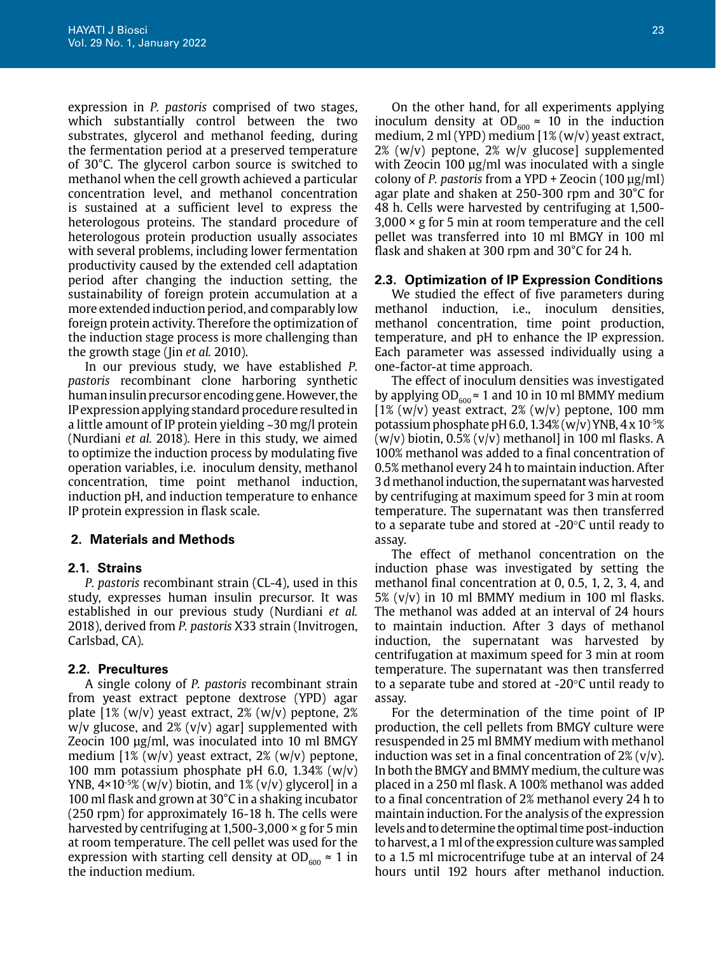expression in *P. pastoris* comprised of two stages, which substantially control between the two substrates, glycerol and methanol feeding, during the fermentation period at a preserved temperature of 30°C. The glycerol carbon source is switched to methanol when the cell growth achieved a particular concentration level, and methanol concentration is sustained at a sufficient level to express the heterologous proteins. The standard procedure of heterologous protein production usually associates with several problems, including lower fermentation productivity caused by the extended cell adaptation period after changing the induction setting, the sustainability of foreign protein accumulation at a more extended induction period, and comparably low foreign protein activity. Therefore the optimization of the induction stage process is more challenging than the growth stage (Jin *et al.* 2010).

In our previous study, we have established *P. pastoris* recombinant clone harboring synthetic human insulin precursor encoding gene. However, the IP expression applying standard procedure resulted in a little amount of IP protein yielding ~30 mg/l protein (Nurdiani *et al.* 2018). Here in this study, we aimed to optimize the induction process by modulating five operation variables, i.e. inoculum density, methanol concentration, time point methanol induction, induction pH, and induction temperature to enhance IP protein expression in flask scale.

# **2. Materials and Methods**

# **2.1. Strains**

*P. pastoris* recombinant strain (CL-4), used in this study, expresses human insulin precursor. It was established in our previous study (Nurdiani *et al.* 2018), derived from *P. pastoris* X33 strain (Invitrogen, Carlsbad, CA).

# **2.2. Precultures**

A single colony of *P. pastoris* recombinant strain from yeast extract peptone dextrose (YPD) agar plate  $[1\% (w/v)$  yeast extract,  $2\% (w/v)$  peptone,  $2\%$  $w/v$  glucose, and 2%  $(v/v)$  agar] supplemented with Zeocin 100 µg/ml, was inoculated into 10 ml BMGY medium [1% (w/v) yeast extract, 2% (w/v) peptone, 100 mm potassium phosphate pH 6.0, 1.34% (w/v) YNB,  $4 \times 10^{-5}$ % (w/v) biotin, and 1% (v/v) glycerol] in a 100 ml flask and grown at 30°C in a shaking incubator (250 rpm) for approximately 16-18 h. The cells were harvested by centrifuging at 1,500-3,000 × g for 5 min at room temperature. The cell pellet was used for the expression with starting cell density at  $OD_{600} \approx 1$  in the induction medium.

On the other hand, for all experiments applying inoculum density at  $OD<sub>600</sub> \approx 10$  in the induction medium, 2 ml (YPD) medium [1% (w/v) yeast extract,  $2\%$  (w/v) peptone,  $2\%$  w/v glucose] supplemented with Zeocin 100 µg/ml was inoculated with a single colony of *P. pastoris* from a YPD + Zeocin (100 µg/ml) agar plate and shaken at 250-300 rpm and 30°C for 48 h. Cells were harvested by centrifuging at 1,500-  $3,000 \times g$  for 5 min at room temperature and the cell pellet was transferred into 10 ml BMGY in 100 ml flask and shaken at 300 rpm and 30°C for 24 h.

# **2.3. Optimization of IP Expression Conditions**

We studied the effect of five parameters during methanol induction, i.e., inoculum densities, methanol concentration, time point production, temperature, and pH to enhance the IP expression. Each parameter was assessed individually using a one-factor-at time approach.

The effect of inoculum densities was investigated by applying  $OD_{600} \approx 1$  and 10 in 10 ml BMMY medium  $[1\% (w/v)$  yeast extract,  $2\% (w/v)$  peptone, 100 mm potassium phosphate pH 6.0, 1.34% (w/v) YNB, 4 x 10-5%  $(w/v)$  biotin, 0.5%  $(v/v)$  methanol] in 100 ml flasks. A 100% methanol was added to a final concentration of 0.5% methanol every 24 h to maintain induction. After 3 d methanol induction, the supernatant was harvested by centrifuging at maximum speed for 3 min at room temperature. The supernatant was then transferred to a separate tube and stored at -20°C until ready to assay.

The effect of methanol concentration on the induction phase was investigated by setting the methanol final concentration at 0, 0.5, 1, 2, 3, 4, and 5% (v/v) in 10 ml BMMY medium in 100 ml flasks. The methanol was added at an interval of 24 hours to maintain induction. After 3 days of methanol induction, the supernatant was harvested by centrifugation at maximum speed for 3 min at room temperature. The supernatant was then transferred to a separate tube and stored at -20°C until ready to assay.

For the determination of the time point of IP production, the cell pellets from BMGY culture were resuspended in 25 ml BMMY medium with methanol induction was set in a final concentration of  $2\%$  (v/v). In both the BMGY and BMMY medium, the culture was placed in a 250 ml flask. A 100% methanol was added to a final concentration of 2% methanol every 24 h to maintain induction. For the analysis of the expression levels and to determine the optimal time post-induction to harvest, a 1 ml of the expression culture was sampled to a 1.5 ml microcentrifuge tube at an interval of 24 hours until 192 hours after methanol induction.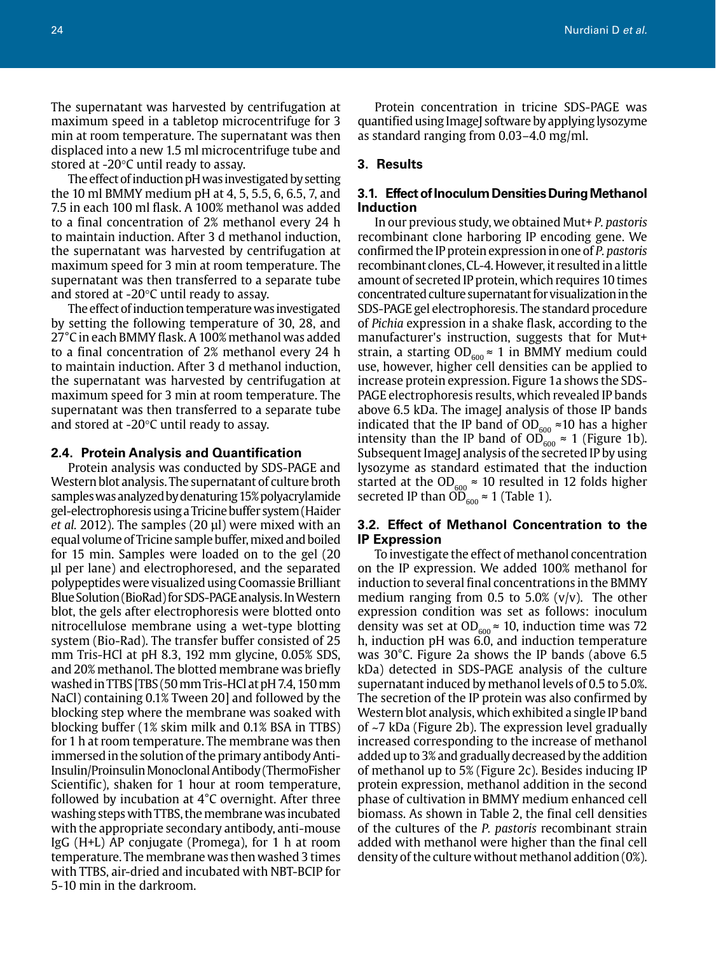The supernatant was harvested by centrifugation at maximum speed in a tabletop microcentrifuge for 3 min at room temperature. The supernatant was then displaced into a new 1.5 ml microcentrifuge tube and stored at -20°C until ready to assay.

The effect of induction pH was investigated by setting the 10 ml BMMY medium pH at 4, 5, 5.5, 6, 6.5, 7, and 7.5 in each 100 ml flask. A 100% methanol was added to a final concentration of 2% methanol every 24 h to maintain induction. After 3 d methanol induction, the supernatant was harvested by centrifugation at maximum speed for 3 min at room temperature. The supernatant was then transferred to a separate tube and stored at -20°C until ready to assay.

The effect of induction temperature was investigated by setting the following temperature of 30, 28, and 27°C in each BMMY flask. A 100% methanol was added to a final concentration of 2% methanol every 24 h to maintain induction. After 3 d methanol induction, the supernatant was harvested by centrifugation at maximum speed for 3 min at room temperature. The supernatant was then transferred to a separate tube and stored at -20°C until ready to assay.

#### **2.4. Protein Analysis and Quantification**

Protein analysis was conducted by SDS-PAGE and Western blot analysis. The supernatant of culture broth samples was analyzed by denaturing 15% polyacrylamide gel-electrophoresis using a Tricine buffer system (Haider *et al.* 2012). The samples (20 µl) were mixed with an equal volume of Tricine sample buffer, mixed and boiled for 15 min. Samples were loaded on to the gel (20 µl per lane) and electrophoresed, and the separated polypeptides were visualized using Coomassie Brilliant Blue Solution (BioRad) for SDS-PAGE analysis. In Western blot, the gels after electrophoresis were blotted onto nitrocellulose membrane using a wet-type blotting system (Bio-Rad). The transfer buffer consisted of 25 mm Tris-HCl at pH 8.3, 192 mm glycine, 0.05% SDS, and 20% methanol. The blotted membrane was briefly washed in TTBS [TBS (50 mm Tris-HCl at pH 7.4, 150 mm NaCl) containing 0.1% Tween 20] and followed by the blocking step where the membrane was soaked with blocking buffer (1% skim milk and 0.1% BSA in TTBS) for 1 h at room temperature. The membrane was then immersed in the solution of the primary antibody Anti-Insulin/Proinsulin Monoclonal Antibody (ThermoFisher Scientific), shaken for 1 hour at room temperature, followed by incubation at 4°C overnight. After three washing steps with TTBS, the membrane was incubated with the appropriate secondary antibody, anti-mouse IgG (H+L) AP conjugate (Promega), for 1 h at room temperature. The membrane was then washed 3 times with TTBS, air-dried and incubated with NBT-BCIP for 5-10 min in the darkroom.

Protein concentration in tricine SDS-PAGE was quantified using ImageJ software by applying lysozyme as standard ranging from 0.03–4.0 mg/ml.

#### **3. Results**

## **3.1. Effect of Inoculum Densities During Methanol Induction**

In our previous study, we obtained Mut+ *P. pastoris* recombinant clone harboring IP encoding gene. We confirmed the IP protein expression in one of *P. pastoris* recombinant clones, CL-4. However, it resulted in a little amount of secreted IP protein, which requires 10 times concentrated culture supernatant for visualization in the SDS-PAGE gel electrophoresis. The standard procedure of *Pichia* expression in a shake flask, according to the manufacturer's instruction, suggests that for Mut+ strain, a starting  $OD_{600} \approx 1$  in BMMY medium could use, however, higher cell densities can be applied to increase protein expression. Figure 1a shows the SDS-PAGE electrophoresis results, which revealed IP bands above 6.5 kDa. The imageJ analysis of those IP bands indicated that the IP band of OD<sub>600</sub>  $\approx$  10 has a higher intensity than the IP band of OD $_{600}^{\circ} \approx 1$  (Figure 1b). Subsequent ImageJ analysis of the secreted IP by using lysozyme as standard estimated that the induction started at the OD<sub>600</sub> ≈ 10 resulted in 12 folds higher secreted IP than OD $_{600}$  ≈ 1 (Table 1).

# **3.2. Effect of Methanol Concentration to the IP Expression**

To investigate the effect of methanol concentration on the IP expression. We added 100% methanol for induction to several final concentrations in the BMMY medium ranging from 0.5 to 5.0%  $(v/v)$ . The other expression condition was set as follows: inoculum density was set at OD<sub>600</sub>  $\approx$  10, induction time was 72 h, induction pH was 6.0, and induction temperature was 30°C. Figure 2a shows the IP bands (above 6.5 kDa) detected in SDS-PAGE analysis of the culture supernatant induced by methanol levels of 0.5 to 5.0%. The secretion of the IP protein was also confirmed by Western blot analysis, which exhibited a single IP band of ~7 kDa (Figure 2b). The expression level gradually increased corresponding to the increase of methanol added up to 3% and gradually decreased by the addition of methanol up to 5% (Figure 2c). Besides inducing IP protein expression, methanol addition in the second phase of cultivation in BMMY medium enhanced cell biomass. As shown in Table 2, the final cell densities of the cultures of the *P. pastoris* recombinant strain added with methanol were higher than the final cell density of the culture without methanol addition (0%).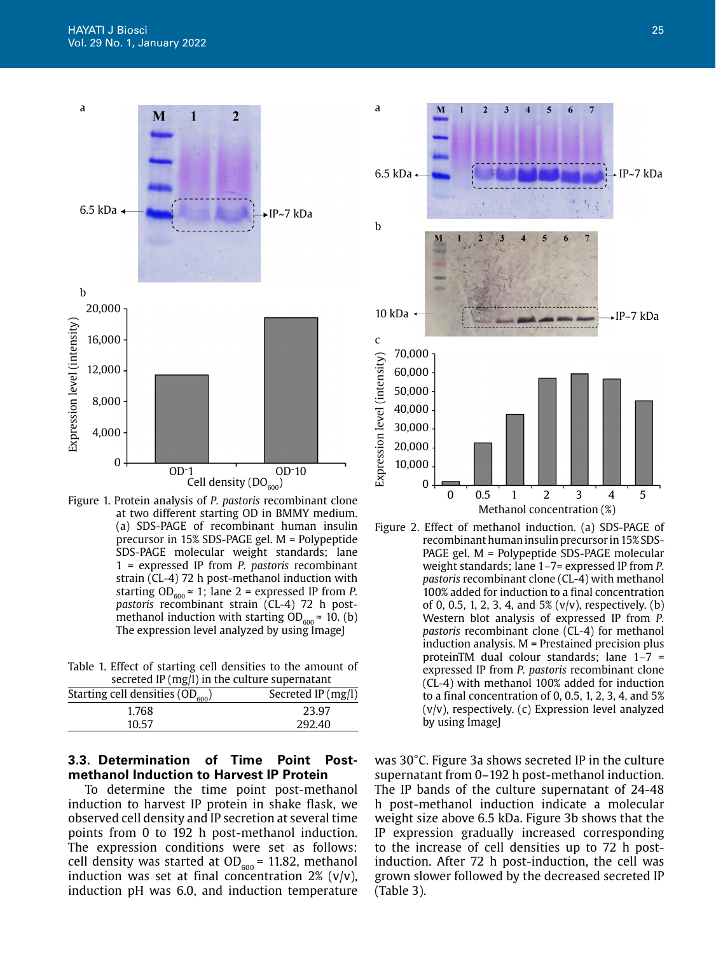

at two different starting OD in BMMY medium. (a) SDS-PAGE of recombinant human insulin precursor in 15% SDS-PAGE gel. M = Polypeptide SDS-PAGE molecular weight standards; lane 1 = expressed IP from *P. pastoris* recombinant strain (CL-4) 72 h post-methanol induction with starting  $OD_{600} \approx 1$ ; lane 2 = expressed IP from *P*. *pastoris* recombinant strain (CL-4) 72 h postmethanol induction with starting  $OD_{600} \approx 10$ . (b) The expression level analyzed by using ImageJ

Table 1. Effect of starting cell densities to the amount of secreted IP (mg/l) in the culture supernatant

| Starting cell densities $(OD_{600})$ | Secreted IP (mg/l) |
|--------------------------------------|--------------------|
| 1.768                                | 23.97              |
| 10.57                                | 292.40             |

# **3.3. Determination of Time Point Postmethanol Induction to Harvest IP Protein**

To determine the time point post-methanol induction to harvest IP protein in shake flask, we observed cell density and IP secretion at several time points from 0 to 192 h post-methanol induction. The expression conditions were set as follows: cell density was started at OD<sub>600</sub> = 11.82, methanol induction was set at final concentration  $2\%$  (v/v), induction pH was 6.0, and induction temperature



Figure 2. Effect of methanol induction. (a) SDS-PAGE of recombinant human insulin precursor in 15% SDS-PAGE gel. M = Polypeptide SDS-PAGE molecular weight standards; lane 1–7= expressed IP from *P. pastoris* recombinant clone (CL-4) with methanol 100% added for induction to a final concentration of 0, 0.5, 1, 2, 3, 4, and  $5\%$  (v/v), respectively. (b) Western blot analysis of expressed IP from *P. pastoris* recombinant clone (CL-4) for methanol induction analysis. M = Prestained precision plus proteinTM dual colour standards; lane 1–7 = expressed IP from *P. pastoris* recombinant clone (CL-4) with methanol 100% added for induction to a final concentration of 0, 0.5, 1, 2, 3, 4, and 5% (v/v), respectively. (c) Expression level analyzed by using ImageJ

was 30°C. Figure 3a shows secreted IP in the culture supernatant from 0–192 h post-methanol induction. The IP bands of the culture supernatant of 24-48 h post-methanol induction indicate a molecular weight size above 6.5 kDa. Figure 3b shows that the IP expression gradually increased corresponding to the increase of cell densities up to 72 h postinduction. After 72 h post-induction, the cell was grown slower followed by the decreased secreted IP (Table 3).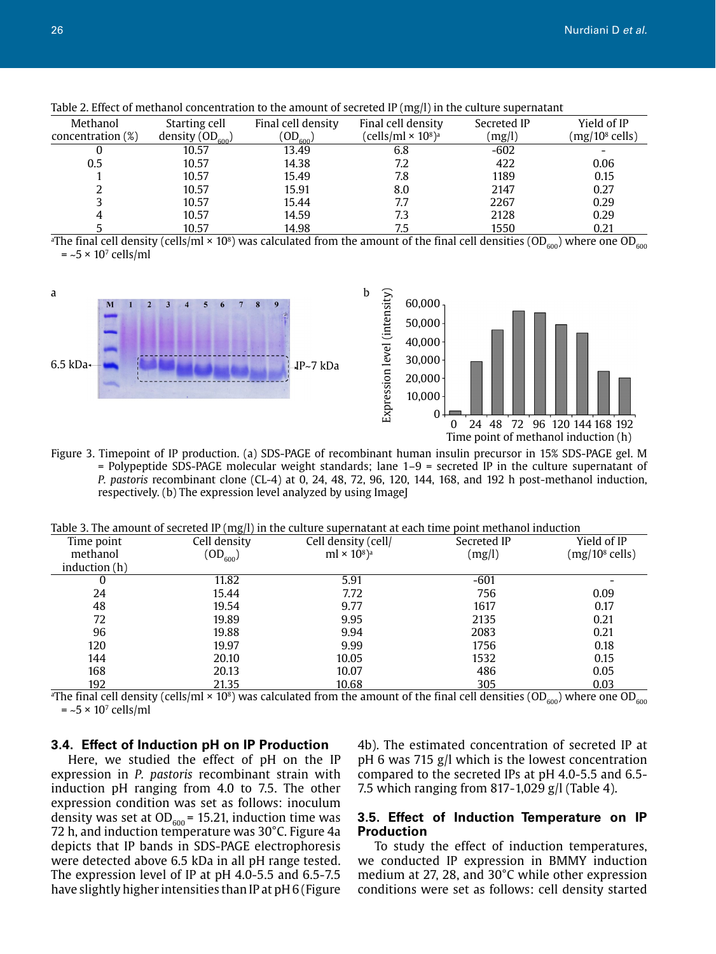| Methanol             | Starting cell      | Final cell density | Final cell density             | Secreted IP | Yield of IP      |
|----------------------|--------------------|--------------------|--------------------------------|-------------|------------------|
| concentration $(\%)$ | density $OD_{600}$ | $({\rm OD}_{600})$ | (cells/ml × 10 <sup>8</sup> )ª | (mg/l)      | $(mg/108$ cells) |
|                      | 10.57              | 13.49              | 6.8                            | $-602$      |                  |
| 0.5                  | 10.57              | 14.38              | 7.2                            | 422         | 0.06             |
|                      | 10.57              | 15.49              | 7.8                            | 1189        | 0.15             |
|                      | 10.57              | 15.91              | 8.0                            | 2147        | 0.27             |
|                      | 10.57              | 15.44              | 7.7                            | 2267        | 0.29             |
|                      | 10.57              | 14.59              | 7.3                            | 2128        | 0.29             |
|                      | 10.57              | 14.98              | 7.5                            | 1550        | 0.21             |

Table 2. Effect of methanol concentration to the amount of secreted IP (mg/l) in the culture supernatant

 $^{\rm a}$ The final cell density (cells/ml × 10 $^{\rm s}$ ) was calculated from the amount of the final cell densities (OD $_{\rm 600}$ ) where one OD $_{\rm 600}$  $=$  ~5  $\times$  10<sup>7</sup> cells/ml



Figure 3. Timepoint of IP production. (a) SDS-PAGE of recombinant human insulin precursor in 15% SDS-PAGE gel. M = Polypeptide SDS-PAGE molecular weight standards; lane 1–9 = secreted IP in the culture supernatant of *P. pastoris* recombinant clone (CL-4) at 0, 24, 48, 72, 96, 120, 144, 168, and 192 h post-methanol induction, respectively. (b) The expression level analyzed by using ImageJ

Table 3. The amount of secreted IP ( $mg/l$ ) in the culture supernatant at each time point methanol induction

| Time point   | $\sim$<br>Cell density | Cell density (cell/                        | Secreted IP | Yield of IP      |
|--------------|------------------------|--------------------------------------------|-------------|------------------|
| methanol     | $\mathrm{(OD_{600}})$  | ml $\times$ 10 <sup>8</sup> ) <sup>a</sup> | (mg/l)      | $(mg/108$ cells) |
| induction(h) |                        |                                            |             |                  |
| 0            | 11.82                  | 5.91                                       | $-601$      |                  |
| 24           | 15.44                  | 7.72                                       | 756         | 0.09             |
| 48           | 19.54                  | 9.77                                       | 1617        | 0.17             |
| 72           | 19.89                  | 9.95                                       | 2135        | 0.21             |
| 96           | 19.88                  | 9.94                                       | 2083        | 0.21             |
| 120          | 19.97                  | 9.99                                       | 1756        | 0.18             |
| 144          | 20.10                  | 10.05                                      | 1532        | 0.15             |
| 168          | 20.13                  | 10.07                                      | 486         | 0.05             |
| 192          | 21.35                  | 10.68                                      | 305         | 0.03             |

 $^{\rm a}$ The final cell density (cells/ml × 10 $^{\rm s}$ ) was calculated from the amount of the final cell densities (OD $_{\rm 600}$ ) where one OD $_{\rm 600}$  $=$  ~5  $\times$  10<sup>7</sup> cells/ml

#### **3.4. Effect of Induction pH on IP Production**

Here, we studied the effect of pH on the IP expression in *P. pastoris* recombinant strain with induction pH ranging from 4.0 to 7.5. The other expression condition was set as follows: inoculum density was set at OD $_{600}$ = 15.21, induction time was 72 h, and induction temperature was 30°C. Figure 4a depicts that IP bands in SDS-PAGE electrophoresis were detected above 6.5 kDa in all pH range tested. The expression level of IP at pH 4.0-5.5 and 6.5-7.5 have slightly higher intensities than IP at pH 6 (Figure

4b). The estimated concentration of secreted IP at pH 6 was 715 g/l which is the lowest concentration compared to the secreted IPs at pH 4.0-5.5 and 6.5- 7.5 which ranging from 817-1,029 g/l (Table 4).

# **3.5. Effect of Induction Temperature on IP Production**

To study the effect of induction temperatures, we conducted IP expression in BMMY induction medium at 27, 28, and 30°C while other expression conditions were set as follows: cell density started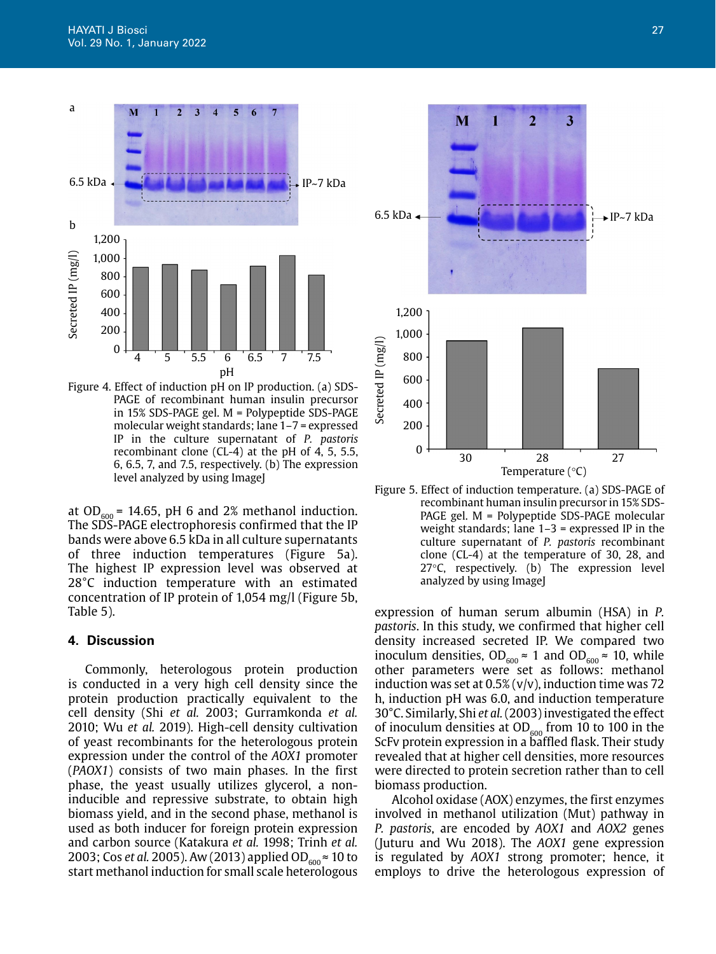

Figure 4. Effect of induction pH on IP production. (a) SDS-PAGE of recombinant human insulin precursor in 15% SDS-PAGE gel. M = Polypeptide SDS-PAGE molecular weight standards; lane 1–7 = expressed IP in the culture supernatant of *P. pastoris* recombinant clone (CL-4) at the pH of 4, 5, 5.5, 6, 6.5, 7, and 7.5, respectively. (b) The expression level analyzed by using ImageJ

at OD<sub>600</sub> = 14.65, pH 6 and 2% methanol induction. The SDS-PAGE electrophoresis confirmed that the IP bands were above 6.5 kDa in all culture supernatants of three induction temperatures (Figure 5a). The highest IP expression level was observed at 28°C induction temperature with an estimated concentration of IP protein of 1,054 mg/l (Figure 5b, Table 5).

#### **4. Discussion**

Commonly, heterologous protein production is conducted in a very high cell density since the protein production practically equivalent to the cell density (Shi *et al.* 2003; Gurramkonda *et al.* 2010; Wu *et al.* 2019). High-cell density cultivation of yeast recombinants for the heterologous protein expression under the control of the *AOX1* promoter (*PAOX1*) consists of two main phases. In the first phase, the yeast usually utilizes glycerol, a noninducible and repressive substrate, to obtain high biomass yield, and in the second phase, methanol is used as both inducer for foreign protein expression and carbon source (Katakura *et al.* 1998; Trinh *et al.* 2003; Cos *et al.* 2005). Aw (2013) applied OD<sub>600</sub> ≈ 10 to start methanol induction for small scale heterologous



Figure 5. Effect of induction temperature. (a) SDS-PAGE of recombinant human insulin precursor in 15% SDS-PAGE gel. M = Polypeptide SDS-PAGE molecular weight standards; lane 1–3 = expressed IP in the culture supernatant of *P. pastoris* recombinant clone (CL-4) at the temperature of 30, 28, and 27°C, respectively. (b) The expression level analyzed by using ImageJ

expression of human serum albumin (HSA) in *P. pastoris*. In this study, we confirmed that higher cell density increased secreted IP. We compared two inoculum densities,  $OD_{600} \approx 1$  and  $OD_{600} \approx 10$ , while other parameters were set as follows: methanol induction was set at  $0.5\%$  (v/v), induction time was 72 h, induction pH was 6.0, and induction temperature 30°C. Similarly, Shi *et al.* (2003) investigated the effect of inoculum densities at  $OD_{600}$  from 10 to 100 in the ScFv protein expression in a baffled flask. Their study revealed that at higher cell densities, more resources were directed to protein secretion rather than to cell biomass production.

Alcohol oxidase (AOX) enzymes, the first enzymes involved in methanol utilization (Mut) pathway in *P. pastoris*, are encoded by *AOX1* and *AOX2* genes (Juturu and Wu 2018). The *AOX1* gene expression is regulated by *AOX1* strong promoter; hence, it employs to drive the heterologous expression of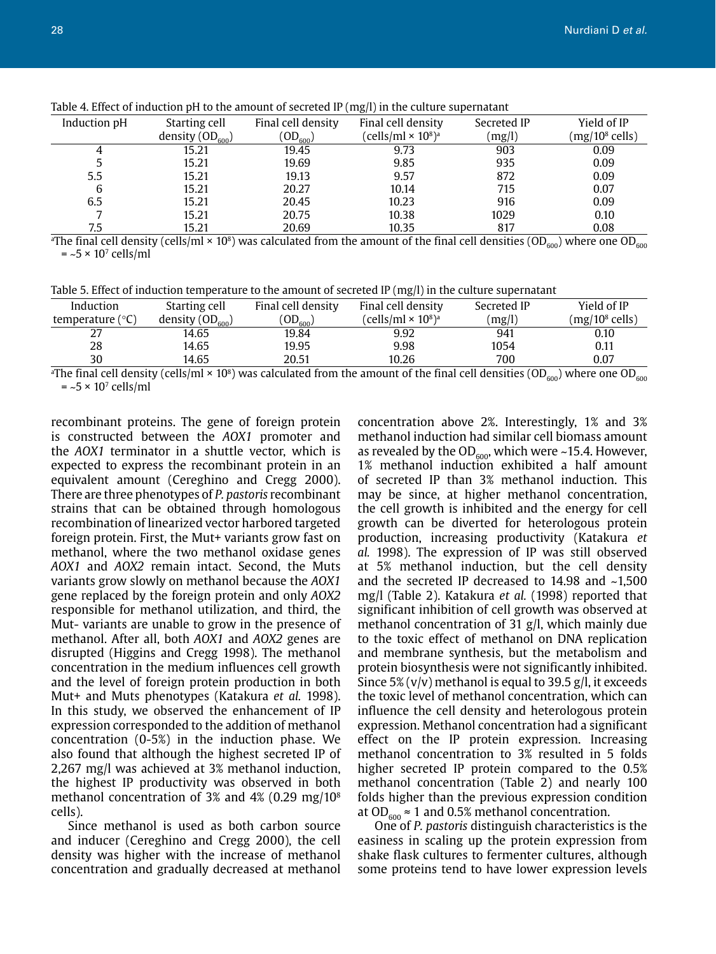| Induction pH | Starting cell      | Final cell density | Final cell density           | Secreted IP | Yield of IP      |
|--------------|--------------------|--------------------|------------------------------|-------------|------------------|
|              | density $OD_{600}$ | $'OD_{600}$        | (cells/ml × 10 $^{\rm 8}$ )ª | (mg/l)      | $(mg/108$ cells) |
|              | 15.21              | 19.45              | 9.73                         | 903         | 0.09             |
|              | 15.21              | 19.69              | 9.85                         | 935         | 0.09             |
| 5.5          | 15.21              | 19.13              | 9.57                         | 872         | 0.09             |
| 6            | 15.21              | 20.27              | 10.14                        | 715         | 0.07             |
| 6.5          | 15.21              | 20.45              | 10.23                        | 916         | 0.09             |
|              | 15.21              | 20.75              | 10.38                        | 1029        | 0.10             |
| 7.5          | 15.21              | 20.69              | 10.35                        | 817         | 0.08             |

Table 4. Effect of induction pH to the amount of secreted IP (mg/l) in the culture supernatant

 $^{\rm a}$ The final cell density (cells/ml × 10 $^{\rm s}$ ) was calculated from the amount of the final cell densities (OD $_{\rm 600}$ ) where one OD $_{\rm 600}$  $=$  ~5  $\times$  10<sup>7</sup> cells/ml

| Table 5. Effect of induction temperature to the amount of secreted $IP(mg/l)$ in the culture supernatant |  |  |
|----------------------------------------------------------------------------------------------------------|--|--|
|                                                                                                          |  |  |

| Induction                 | Starting cell        | Final cell density | Final cell density | Secreted IP | Yield of IP                |
|---------------------------|----------------------|--------------------|--------------------|-------------|----------------------------|
| temperature $(^{\circ}C)$ | density $(OD_{600})$ | $'OD_{600})$       | (cells/ml × 108)ª  | (mg/l)      | (mg/10 <sup>8</sup> cells) |
| ، ے                       | 14.65                | 19.84              | 9.92               | 941         | 0.10                       |
| 28                        | 14.65                | 19.95              | 9.98               | 1054        | 0.11                       |
| 30                        | 14.65                | 20.51              | 10.26              | 700         | 0.07                       |

 $^{\rm a}$ The final cell density (cells/ml × 10 $^{\rm s}$ ) was calculated from the amount of the final cell densities (OD $_{\rm 600}$ ) where one OD $_{\rm 600}$  $=$  ~5  $\times$  10<sup>7</sup> cells/ml

recombinant proteins. The gene of foreign protein is constructed between the *AOX1* promoter and the *AOX1* terminator in a shuttle vector, which is expected to express the recombinant protein in an equivalent amount (Cereghino and Cregg 2000). There are three phenotypes of *P. pastoris* recombinant strains that can be obtained through homologous recombination of linearized vector harbored targeted foreign protein. First, the Mut+ variants grow fast on methanol, where the two methanol oxidase genes *AOX1* and *AOX2* remain intact. Second, the Muts variants grow slowly on methanol because the *AOX1* gene replaced by the foreign protein and only *AOX2* responsible for methanol utilization, and third, the Mut- variants are unable to grow in the presence of methanol. After all, both *AOX1* and *AOX2* genes are disrupted (Higgins and Cregg 1998). The methanol concentration in the medium influences cell growth and the level of foreign protein production in both Mut+ and Muts phenotypes (Katakura *et al.* 1998). In this study, we observed the enhancement of IP expression corresponded to the addition of methanol concentration (0-5%) in the induction phase. We also found that although the highest secreted IP of 2,267 mg/l was achieved at 3% methanol induction, the highest IP productivity was observed in both methanol concentration of 3% and 4% (0.29 mg/108 cells).

Since methanol is used as both carbon source and inducer (Cereghino and Cregg 2000), the cell density was higher with the increase of methanol concentration and gradually decreased at methanol

concentration above 2%. Interestingly, 1% and 3% methanol induction had similar cell biomass amount as revealed by the  $OD_{600}$ , which were ~15.4. However, 1% methanol induction exhibited a half amount of secreted IP than 3% methanol induction. This may be since, at higher methanol concentration, the cell growth is inhibited and the energy for cell growth can be diverted for heterologous protein production, increasing productivity (Katakura *et al.* 1998). The expression of IP was still observed at 5% methanol induction, but the cell density and the secreted IP decreased to 14.98 and ~1,500 mg/l (Table 2). Katakura *et al.* (1998) reported that significant inhibition of cell growth was observed at methanol concentration of 31 g/l, which mainly due to the toxic effect of methanol on DNA replication and membrane synthesis, but the metabolism and protein biosynthesis were not significantly inhibited. Since 5% ( $v/v$ ) methanol is equal to 39.5 g/l, it exceeds the toxic level of methanol concentration, which can influence the cell density and heterologous protein expression. Methanol concentration had a significant effect on the IP protein expression. Increasing methanol concentration to 3% resulted in 5 folds higher secreted IP protein compared to the 0.5% methanol concentration (Table 2) and nearly 100 folds higher than the previous expression condition at OD<sub>600</sub>  $\approx$  1 and 0.5% methanol concentration.

One of *P. pastoris* distinguish characteristics is the easiness in scaling up the protein expression from shake flask cultures to fermenter cultures, although some proteins tend to have lower expression levels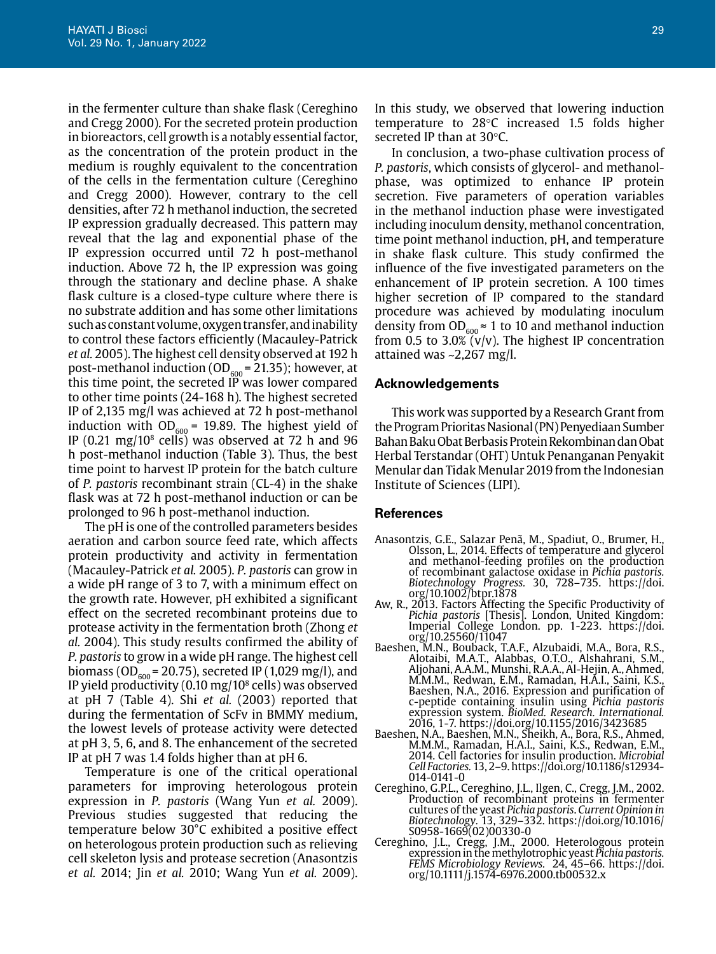in the fermenter culture than shake flask (Cereghino and Cregg 2000). For the secreted protein production in bioreactors, cell growth is a notably essential factor, as the concentration of the protein product in the medium is roughly equivalent to the concentration of the cells in the fermentation culture (Cereghino and Cregg 2000). However, contrary to the cell densities, after 72 h methanol induction, the secreted IP expression gradually decreased. This pattern may reveal that the lag and exponential phase of the IP expression occurred until 72 h post-methanol induction. Above 72 h, the IP expression was going through the stationary and decline phase. A shake flask culture is a closed-type culture where there is no substrate addition and has some other limitations such as constant volume, oxygen transfer, and inability to control these factors efficiently (Macauley-Patrick *et al.* 2005). The highest cell density observed at 192 h post-methanol induction (OD $_{600}$  = 21.35); however, at this time point, the secreted IP was lower compared to other time points (24-168 h). The highest secreted IP of 2,135 mg/l was achieved at 72 h post-methanol induction with  $OD_{600} = 19.89$ . The highest yield of IP  $(0.21 \text{ mg}/10^8 \text{ cells})$  was observed at 72 h and 96 h post-methanol induction (Table 3). Thus, the best time point to harvest IP protein for the batch culture of *P. pastoris* recombinant strain (CL-4) in the shake flask was at 72 h post-methanol induction or can be prolonged to 96 h post-methanol induction.

The pH is one of the controlled parameters besides aeration and carbon source feed rate, which affects protein productivity and activity in fermentation (Macauley-Patrick *et al.* 2005). *P. pastoris* can grow in a wide pH range of 3 to 7, with a minimum effect on the growth rate. However, pH exhibited a significant effect on the secreted recombinant proteins due to protease activity in the fermentation broth (Zhong *et al.* 2004). This study results confirmed the ability of *P. pastoris* to grow in a wide pH range. The highest cell biomass (OD $_{600}$  = 20.75), secreted IP (1,029 mg/l), and IP yield productivity (0.10 mg/108 cells) was observed at pH 7 (Table 4). Shi *et al.* (2003) reported that during the fermentation of ScFv in BMMY medium, the lowest levels of protease activity were detected at pH 3, 5, 6, and 8. The enhancement of the secreted IP at pH 7 was 1.4 folds higher than at pH 6.

Temperature is one of the critical operational parameters for improving heterologous protein expression in *P. pastoris* (Wang Yun *et al.* 2009). Previous studies suggested that reducing the temperature below 30°C exhibited a positive effect on heterologous protein production such as relieving cell skeleton lysis and protease secretion (Anasontzis *et al.* 2014; Jin *et al.* 2010; Wang Yun *et al.* 2009).

In this study, we observed that lowering induction temperature to 28°C increased 1.5 folds higher secreted IP than at 30°C.

In conclusion, a two-phase cultivation process of *P. pastoris*, which consists of glycerol- and methanolphase, was optimized to enhance IP protein secretion. Five parameters of operation variables in the methanol induction phase were investigated including inoculum density, methanol concentration, time point methanol induction, pH, and temperature in shake flask culture. This study confirmed the influence of the five investigated parameters on the enhancement of IP protein secretion. A 100 times higher secretion of IP compared to the standard procedure was achieved by modulating inoculum density from  $OD_{600} \approx 1$  to 10 and methanol induction from 0.5 to 3.0%  $\tilde{v}/v$ ). The highest IP concentration attained was ~2,267 mg/l.

## **Acknowledgements**

This work was supported by a Research Grant from the Program Prioritas Nasional (PN) Penyediaan Sumber Bahan Baku Obat Berbasis Protein Rekombinan dan Obat Herbal Terstandar (OHT) Untuk Penanganan Penyakit Menular dan Tidak Menular 2019 from the Indonesian Institute of Sciences (LIPI).

#### **References**

- Anasontzis, G.E., Salazar Penã, M., Spadiut, O., Brumer, H., Olsson, L., 2014. Effects of temperature and glycerol and methanol-feeding profiles on the production of recombinant galactose oxidase in *Pichia pastoris. Biotechnology Progress.* 30, 728–735. https://doi. org/10.1002/btpr.1878
- Aw, R., 2013. Factors Affecting the Specific Productivity of *Pichia pastoris* [Thesis]. London, United Kingdom: Imperial College London. pp. 1-223. https://doi. org/10.25560/11047
- Baeshen, M.N., Bouback, T.A.F., Alzubaidi, M.A., Bora, R.S., Alotaibi, M.A.T., Alabbas, O.T.O., Alshahrani, S.M., Aljohani, A.A.M., Munshi, R.A.A., Al-Hejin, A., Ahmed, M.M.M., Redwan, E.M., Ramadan, H.A.I., Saini, K.S., Baeshen, N.A., 2016. Expression and purification of c-peptide containing insulin using *Pichia pastoris* expression system. *BioMed. Research. International.* 2016, 1-7. https://doi.org/10.1155/2016/3423685
- Baeshen, N.A., Baeshen, M.N., Sheikh, A., Bora, R.S., Ahmed, M.M.M., Ramadan, H.A.I., Saini, K.S., Redwan, E.M., 2014. Cell factories for insulin production. *Microbial Cell Factories.* 13, 2–9. https://doi.org/10.1186/s12934- 014-0141-0
- Cereghino, G.P.L., Cereghino, J.L., Ilgen, C., Cregg, J.M., 2002. Production of recombinant proteins in fermenter cultures of the yeast *Pichia pastoris*. *Current Opinion in Biotechnology.* 13, 329–332. https://doi.org/10.1016/ S0958-1669(02)00330-0
- Cereghino, J.L., Cregg, J.M., 2000. Heterologous protein expression in the methylotrophic yeast *Pichia pastoris. FEMS Microbiology Reviews.* 24, 45–66. https://doi. org/10.1111/j.1574-6976.2000.tb00532.x